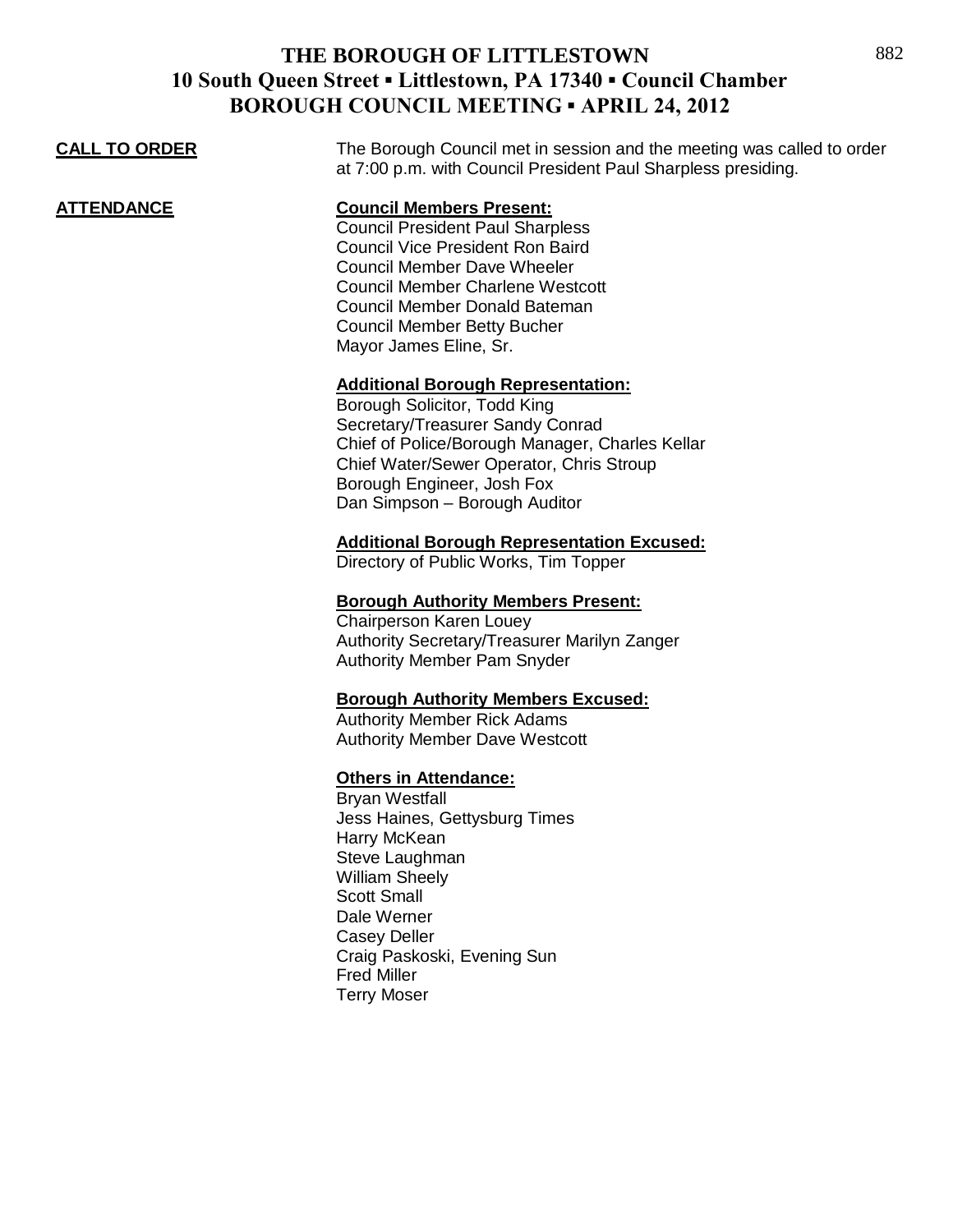| <u>CALL TO ORDER</u> | The Borough Council met in session and the meeting was called to order<br>at 7:00 p.m. with Council President Paul Sharpless presiding.                                                                                                                                                                 |
|----------------------|---------------------------------------------------------------------------------------------------------------------------------------------------------------------------------------------------------------------------------------------------------------------------------------------------------|
| ATTENDANCE           | <b>Council Members Present:</b><br><b>Council President Paul Sharpless</b><br><b>Council Vice President Ron Baird</b><br><b>Council Member Dave Wheeler</b><br><b>Council Member Charlene Westcott</b><br>Council Member Donald Bateman<br><b>Council Member Betty Bucher</b><br>Mayor James Eline, Sr. |
|                      | <b>Additional Borough Representation:</b><br>Borough Solicitor, Todd King<br>Secretary/Treasurer Sandy Conrad<br>Chief of Police/Borough Manager, Charles Kellar<br>Chief Water/Sewer Operator, Chris Stroup<br>Borough Engineer, Josh Fox<br>Dan Simpson - Borough Auditor                             |
|                      | <b>Additional Borough Representation Excused:</b><br>Directory of Public Works, Tim Topper                                                                                                                                                                                                              |
|                      | <b>Borough Authority Members Present:</b><br><b>Chairperson Karen Louey</b><br>Authority Secretary/Treasurer Marilyn Zanger<br>Authority Member Pam Snyder                                                                                                                                              |
|                      | <b>Borough Authority Members Excused:</b><br><b>Authority Member Rick Adams</b><br><b>Authority Member Dave Westcott</b>                                                                                                                                                                                |
|                      | <b>Others in Attendance:</b><br><b>Bryan Westfall</b><br>Jess Haines, Gettysburg Times<br>Harry McKean<br>Steve Laughman<br><b>William Sheely</b><br><b>Scott Small</b><br>Dale Werner<br><b>Casey Deller</b><br>Craig Paskoski, Evening Sun<br><b>Fred Miller</b><br><b>Terry Moser</b>                |
|                      |                                                                                                                                                                                                                                                                                                         |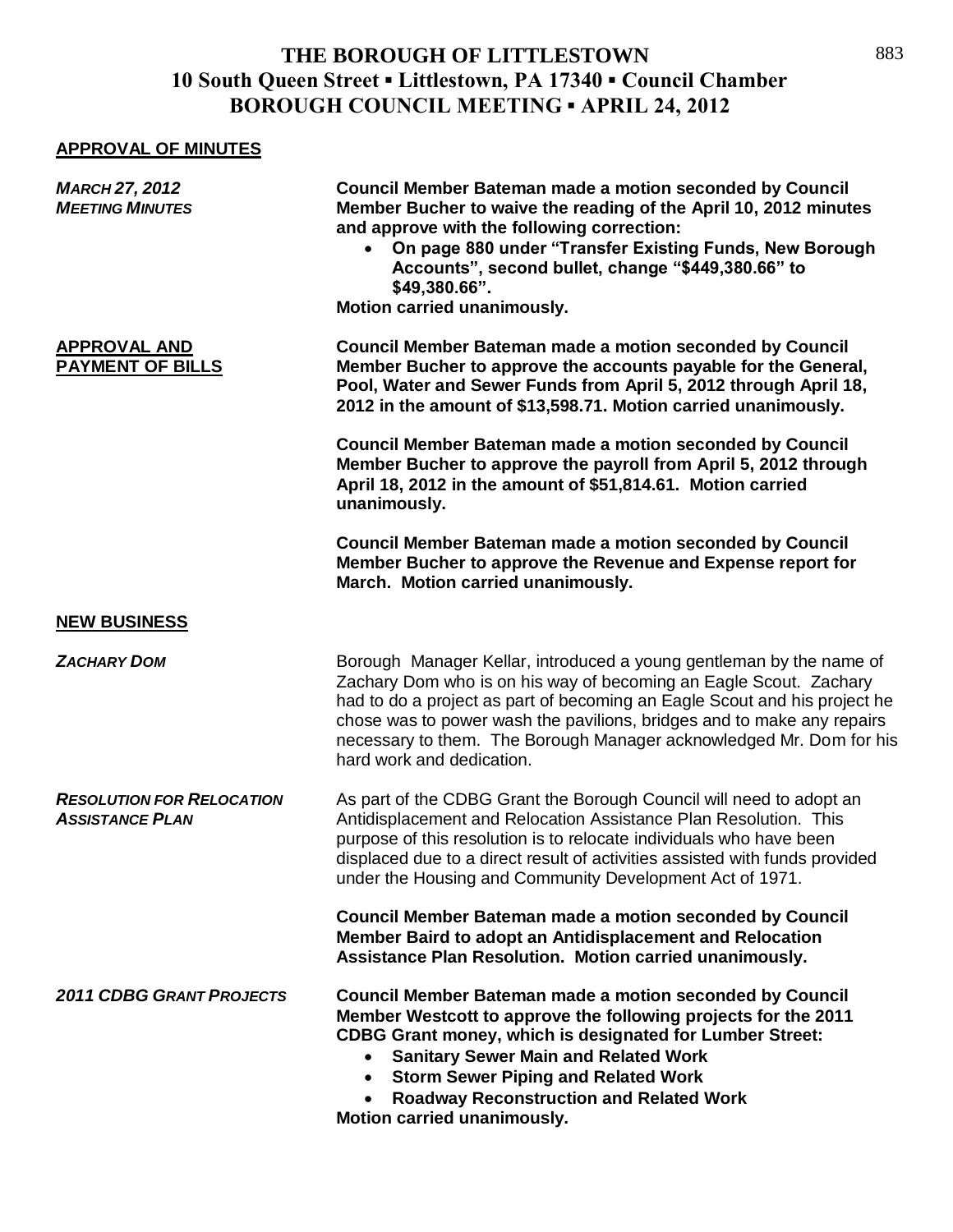#### **APPROVAL OF MINUTES**

| <b>MARCH 27, 2012</b><br><b>MEETING MINUTES</b>            | <b>Council Member Bateman made a motion seconded by Council</b><br>Member Bucher to waive the reading of the April 10, 2012 minutes<br>and approve with the following correction:<br>On page 880 under "Transfer Existing Funds, New Borough<br>$\bullet$<br>Accounts", second bullet, change "\$449,380.66" to<br>\$49,380.66".<br>Motion carried unanimously.                                       |
|------------------------------------------------------------|-------------------------------------------------------------------------------------------------------------------------------------------------------------------------------------------------------------------------------------------------------------------------------------------------------------------------------------------------------------------------------------------------------|
| <b>APPROVAL AND</b><br><b>PAYMENT OF BILLS</b>             | <b>Council Member Bateman made a motion seconded by Council</b><br>Member Bucher to approve the accounts payable for the General,<br>Pool, Water and Sewer Funds from April 5, 2012 through April 18,<br>2012 in the amount of \$13,598.71. Motion carried unanimously.                                                                                                                               |
|                                                            | <b>Council Member Bateman made a motion seconded by Council</b><br>Member Bucher to approve the payroll from April 5, 2012 through<br>April 18, 2012 in the amount of \$51,814.61. Motion carried<br>unanimously.                                                                                                                                                                                     |
|                                                            | <b>Council Member Bateman made a motion seconded by Council</b><br>Member Bucher to approve the Revenue and Expense report for<br>March. Motion carried unanimously.                                                                                                                                                                                                                                  |
| <b>NEW BUSINESS</b>                                        |                                                                                                                                                                                                                                                                                                                                                                                                       |
| <b>ZACHARY DOM</b>                                         | Borough Manager Kellar, introduced a young gentleman by the name of<br>Zachary Dom who is on his way of becoming an Eagle Scout. Zachary<br>had to do a project as part of becoming an Eagle Scout and his project he<br>chose was to power wash the pavilions, bridges and to make any repairs<br>necessary to them. The Borough Manager acknowledged Mr. Dom for his<br>hard work and dedication.   |
| <b>RESOLUTION FOR RELOCATION</b><br><b>ASSISTANCE PLAN</b> | As part of the CDBG Grant the Borough Council will need to adopt an<br>Antidisplacement and Relocation Assistance Plan Resolution. This<br>purpose of this resolution is to relocate individuals who have been<br>displaced due to a direct result of activities assisted with funds provided<br>under the Housing and Community Development Act of 1971.                                             |
|                                                            | Council Member Bateman made a motion seconded by Council<br>Member Baird to adopt an Antidisplacement and Relocation<br>Assistance Plan Resolution. Motion carried unanimously.                                                                                                                                                                                                                       |
| <b>2011 CDBG GRANT PROJECTS</b>                            | Council Member Bateman made a motion seconded by Council<br>Member Westcott to approve the following projects for the 2011<br><b>CDBG Grant money, which is designated for Lumber Street:</b><br><b>Sanitary Sewer Main and Related Work</b><br>$\bullet$<br><b>Storm Sewer Piping and Related Work</b><br>$\bullet$<br><b>Roadway Reconstruction and Related Work</b><br>Motion carried unanimously. |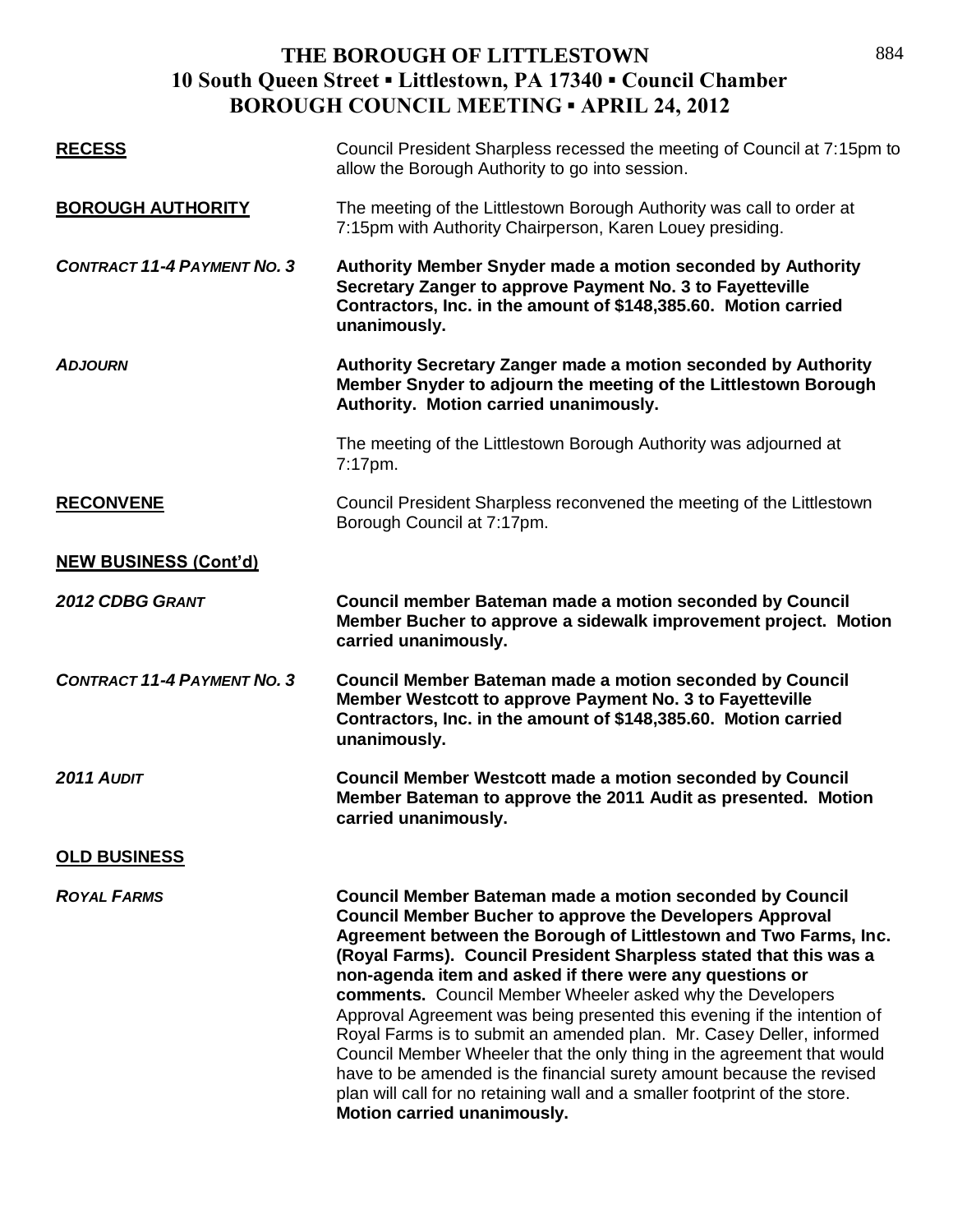| <b>RECESS</b>                      | Council President Sharpless recessed the meeting of Council at 7:15pm to<br>allow the Borough Authority to go into session.                                                                                                                                                                                                                                                                                                                                                                                                                                                                                                                                                                                                                                                                                             |
|------------------------------------|-------------------------------------------------------------------------------------------------------------------------------------------------------------------------------------------------------------------------------------------------------------------------------------------------------------------------------------------------------------------------------------------------------------------------------------------------------------------------------------------------------------------------------------------------------------------------------------------------------------------------------------------------------------------------------------------------------------------------------------------------------------------------------------------------------------------------|
| <b>BOROUGH AUTHORITY</b>           | The meeting of the Littlestown Borough Authority was call to order at<br>7:15pm with Authority Chairperson, Karen Louey presiding.                                                                                                                                                                                                                                                                                                                                                                                                                                                                                                                                                                                                                                                                                      |
| <b>CONTRACT 11-4 PAYMENT NO. 3</b> | Authority Member Snyder made a motion seconded by Authority<br>Secretary Zanger to approve Payment No. 3 to Fayetteville<br>Contractors, Inc. in the amount of \$148,385.60. Motion carried<br>unanimously.                                                                                                                                                                                                                                                                                                                                                                                                                                                                                                                                                                                                             |
| <b>ADJOURN</b>                     | Authority Secretary Zanger made a motion seconded by Authority<br>Member Snyder to adjourn the meeting of the Littlestown Borough<br>Authority. Motion carried unanimously.                                                                                                                                                                                                                                                                                                                                                                                                                                                                                                                                                                                                                                             |
|                                    | The meeting of the Littlestown Borough Authority was adjourned at<br>7:17pm.                                                                                                                                                                                                                                                                                                                                                                                                                                                                                                                                                                                                                                                                                                                                            |
| <b>RECONVENE</b>                   | Council President Sharpless reconvened the meeting of the Littlestown<br>Borough Council at 7:17pm.                                                                                                                                                                                                                                                                                                                                                                                                                                                                                                                                                                                                                                                                                                                     |
| <b>NEW BUSINESS (Cont'd)</b>       |                                                                                                                                                                                                                                                                                                                                                                                                                                                                                                                                                                                                                                                                                                                                                                                                                         |
| <b>2012 CDBG GRANT</b>             | Council member Bateman made a motion seconded by Council<br>Member Bucher to approve a sidewalk improvement project. Motion<br>carried unanimously.                                                                                                                                                                                                                                                                                                                                                                                                                                                                                                                                                                                                                                                                     |
| <b>CONTRACT 11-4 PAYMENT NO. 3</b> | <b>Council Member Bateman made a motion seconded by Council</b><br>Member Westcott to approve Payment No. 3 to Fayetteville<br>Contractors, Inc. in the amount of \$148,385.60. Motion carried<br>unanimously.                                                                                                                                                                                                                                                                                                                                                                                                                                                                                                                                                                                                          |
| 2011 AUDIT                         | <b>Council Member Westcott made a motion seconded by Council</b><br>Member Bateman to approve the 2011 Audit as presented. Motion<br>carried unanimously.                                                                                                                                                                                                                                                                                                                                                                                                                                                                                                                                                                                                                                                               |
| <b>OLD BUSINESS</b>                |                                                                                                                                                                                                                                                                                                                                                                                                                                                                                                                                                                                                                                                                                                                                                                                                                         |
| <b>ROYAL FARMS</b>                 | <b>Council Member Bateman made a motion seconded by Council</b><br><b>Council Member Bucher to approve the Developers Approval</b><br>Agreement between the Borough of Littlestown and Two Farms, Inc.<br>(Royal Farms). Council President Sharpless stated that this was a<br>non-agenda item and asked if there were any questions or<br>comments. Council Member Wheeler asked why the Developers<br>Approval Agreement was being presented this evening if the intention of<br>Royal Farms is to submit an amended plan. Mr. Casey Deller, informed<br>Council Member Wheeler that the only thing in the agreement that would<br>have to be amended is the financial surety amount because the revised<br>plan will call for no retaining wall and a smaller footprint of the store.<br>Motion carried unanimously. |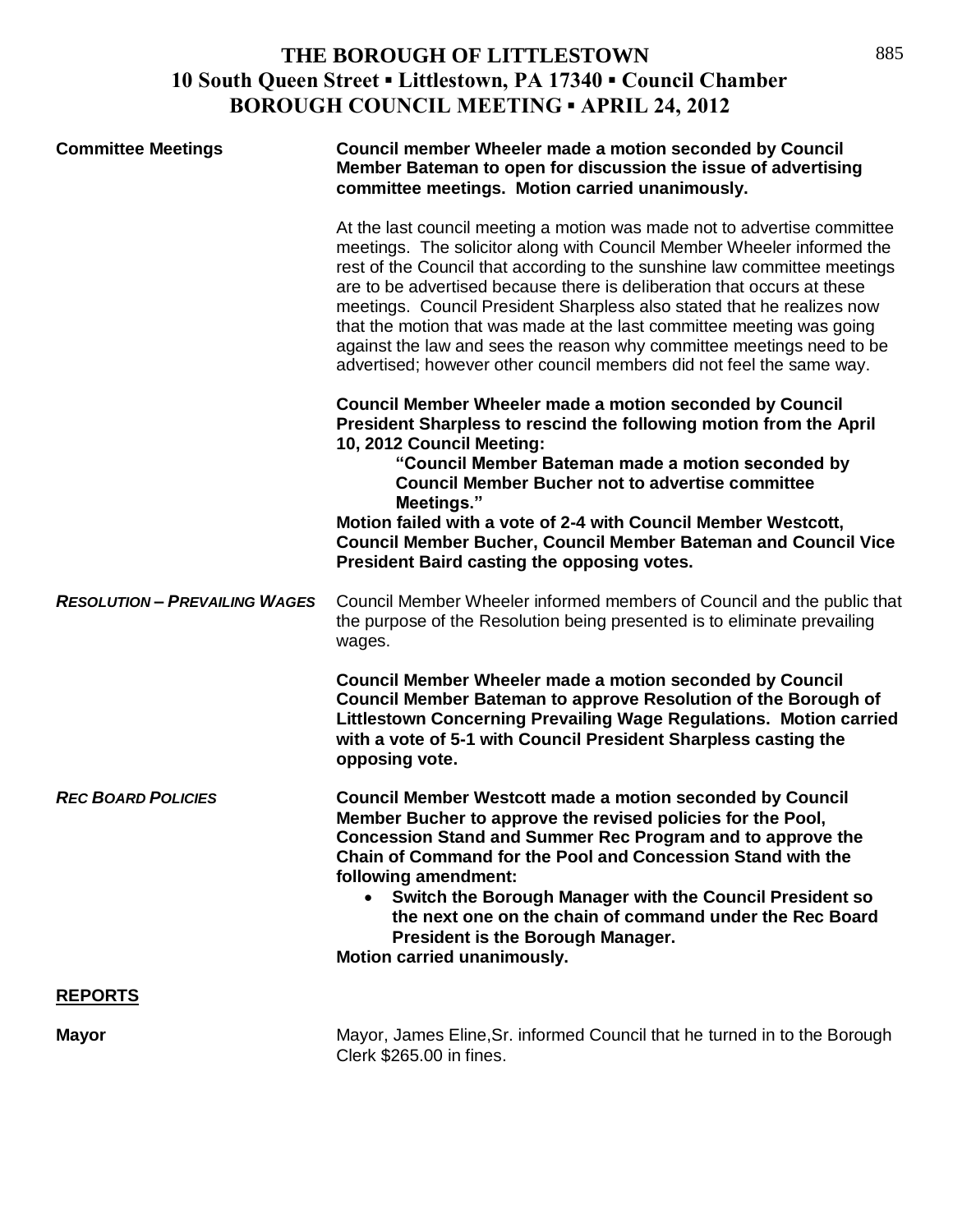| <b>Committee Meetings</b>            | Council member Wheeler made a motion seconded by Council<br>Member Bateman to open for discussion the issue of advertising<br>committee meetings. Motion carried unanimously.                                                                                                                                                                                                                                                                                                                                                                                                                                  |
|--------------------------------------|----------------------------------------------------------------------------------------------------------------------------------------------------------------------------------------------------------------------------------------------------------------------------------------------------------------------------------------------------------------------------------------------------------------------------------------------------------------------------------------------------------------------------------------------------------------------------------------------------------------|
|                                      | At the last council meeting a motion was made not to advertise committee<br>meetings. The solicitor along with Council Member Wheeler informed the<br>rest of the Council that according to the sunshine law committee meetings<br>are to be advertised because there is deliberation that occurs at these<br>meetings. Council President Sharpless also stated that he realizes now<br>that the motion that was made at the last committee meeting was going<br>against the law and sees the reason why committee meetings need to be<br>advertised; however other council members did not feel the same way. |
|                                      | <b>Council Member Wheeler made a motion seconded by Council</b><br>President Sharpless to rescind the following motion from the April<br>10, 2012 Council Meeting:<br>"Council Member Bateman made a motion seconded by<br><b>Council Member Bucher not to advertise committee</b><br>Meetings."                                                                                                                                                                                                                                                                                                               |
|                                      | Motion failed with a vote of 2-4 with Council Member Westcott,<br><b>Council Member Bucher, Council Member Bateman and Council Vice</b><br>President Baird casting the opposing votes.                                                                                                                                                                                                                                                                                                                                                                                                                         |
| <b>RESOLUTION - PREVAILING WAGES</b> | Council Member Wheeler informed members of Council and the public that<br>the purpose of the Resolution being presented is to eliminate prevailing<br>wages.                                                                                                                                                                                                                                                                                                                                                                                                                                                   |
|                                      | <b>Council Member Wheeler made a motion seconded by Council</b><br>Council Member Bateman to approve Resolution of the Borough of<br>Littlestown Concerning Prevailing Wage Regulations. Motion carried<br>with a vote of 5-1 with Council President Sharpless casting the<br>opposing vote.                                                                                                                                                                                                                                                                                                                   |
| <b>REC BOARD POLICIES</b>            | <b>Council Member Westcott made a motion seconded by Council</b><br>Member Bucher to approve the revised policies for the Pool,<br><b>Concession Stand and Summer Rec Program and to approve the</b><br>Chain of Command for the Pool and Concession Stand with the<br>following amendment:<br>Switch the Borough Manager with the Council President so                                                                                                                                                                                                                                                        |
|                                      | the next one on the chain of command under the Rec Board<br>President is the Borough Manager.<br>Motion carried unanimously.                                                                                                                                                                                                                                                                                                                                                                                                                                                                                   |
| <b>REPORTS</b>                       |                                                                                                                                                                                                                                                                                                                                                                                                                                                                                                                                                                                                                |

**Mayor** Mayor, James Eline,Sr. informed Council that he turned in to the Borough Clerk \$265.00 in fines.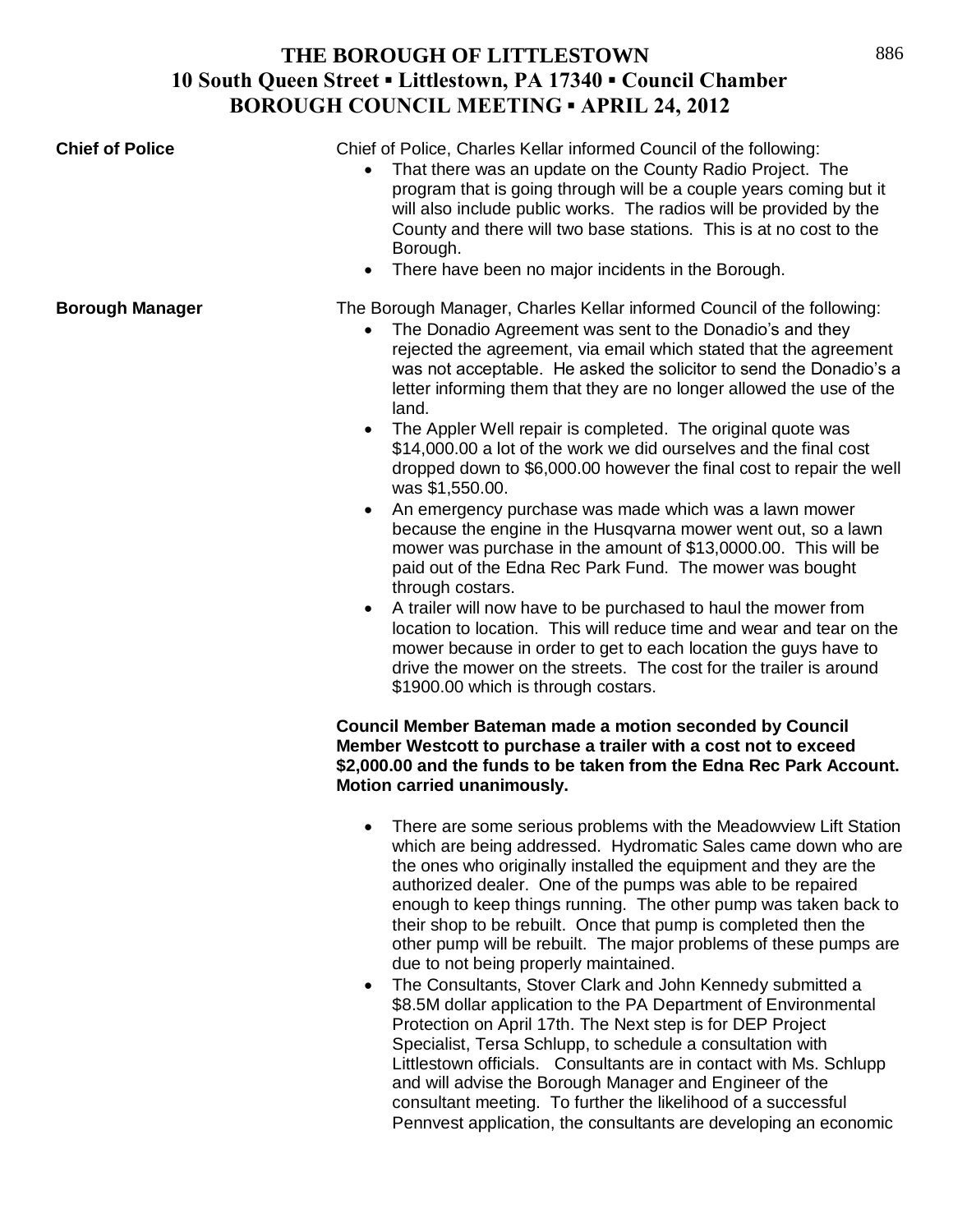| <b>Chief of Police</b> | Chief of Police, Charles Kellar informed Council of the following:<br>That there was an update on the County Radio Project. The<br>$\bullet$<br>program that is going through will be a couple years coming but it<br>will also include public works. The radios will be provided by the<br>County and there will two base stations. This is at no cost to the<br>Borough.<br>There have been no major incidents in the Borough.<br>$\bullet$                                                                                                                                                                                                                                                                                                                                                                                                                                                                                                                                                                                                                                                                                                                                                                                 |
|------------------------|-------------------------------------------------------------------------------------------------------------------------------------------------------------------------------------------------------------------------------------------------------------------------------------------------------------------------------------------------------------------------------------------------------------------------------------------------------------------------------------------------------------------------------------------------------------------------------------------------------------------------------------------------------------------------------------------------------------------------------------------------------------------------------------------------------------------------------------------------------------------------------------------------------------------------------------------------------------------------------------------------------------------------------------------------------------------------------------------------------------------------------------------------------------------------------------------------------------------------------|
| <b>Borough Manager</b> | The Borough Manager, Charles Kellar informed Council of the following:<br>The Donadio Agreement was sent to the Donadio's and they<br>rejected the agreement, via email which stated that the agreement<br>was not acceptable. He asked the solicitor to send the Donadio's a<br>letter informing them that they are no longer allowed the use of the<br>land.<br>The Appler Well repair is completed. The original quote was<br>$\bullet$<br>\$14,000.00 a lot of the work we did ourselves and the final cost<br>dropped down to \$6,000.00 however the final cost to repair the well<br>was \$1,550.00.<br>An emergency purchase was made which was a lawn mower<br>because the engine in the Husqvarna mower went out, so a lawn<br>mower was purchase in the amount of \$13,0000.00. This will be<br>paid out of the Edna Rec Park Fund. The mower was bought<br>through costars.<br>A trailer will now have to be purchased to haul the mower from<br>$\bullet$<br>location to location. This will reduce time and wear and tear on the<br>mower because in order to get to each location the guys have to<br>drive the mower on the streets. The cost for the trailer is around<br>\$1900.00 which is through costars. |
|                        | <b>Council Member Bateman made a motion seconded by Council</b><br>Member Westcott to purchase a trailer with a cost not to exceed<br>\$2,000.00 and the funds to be taken from the Edna Rec Park Account.<br>Motion carried unanimously.                                                                                                                                                                                                                                                                                                                                                                                                                                                                                                                                                                                                                                                                                                                                                                                                                                                                                                                                                                                     |
|                        | There are some serious problems with the Meadowview Lift Station<br>which are being addressed. Hydromatic Sales came down who are<br>the ones who originally installed the equipment and they are the<br>authorized dealer. One of the pumps was able to be repaired<br>enough to keep things running. The other pump was taken back to<br>their shop to be rebuilt. Once that pump is completed then the<br>other pump will be rebuilt. The major problems of these pumps are<br>due to not being properly maintained.<br>The Consultants, Stover Clark and John Kennedy submitted a<br>CO EM deller ennligation to the DA Department of Environment                                                                                                                                                                                                                                                                                                                                                                                                                                                                                                                                                                         |

\$8.5M dollar application to the PA Department of Environmental Protection on April 17th. The Next step is for DEP Project Specialist, Tersa Schlupp, to schedule a consultation with Littlestown officials. Consultants are in contact with Ms. Schlupp and will advise the Borough Manager and Engineer of the consultant meeting. To further the likelihood of a successful Pennvest application, the consultants are developing an economic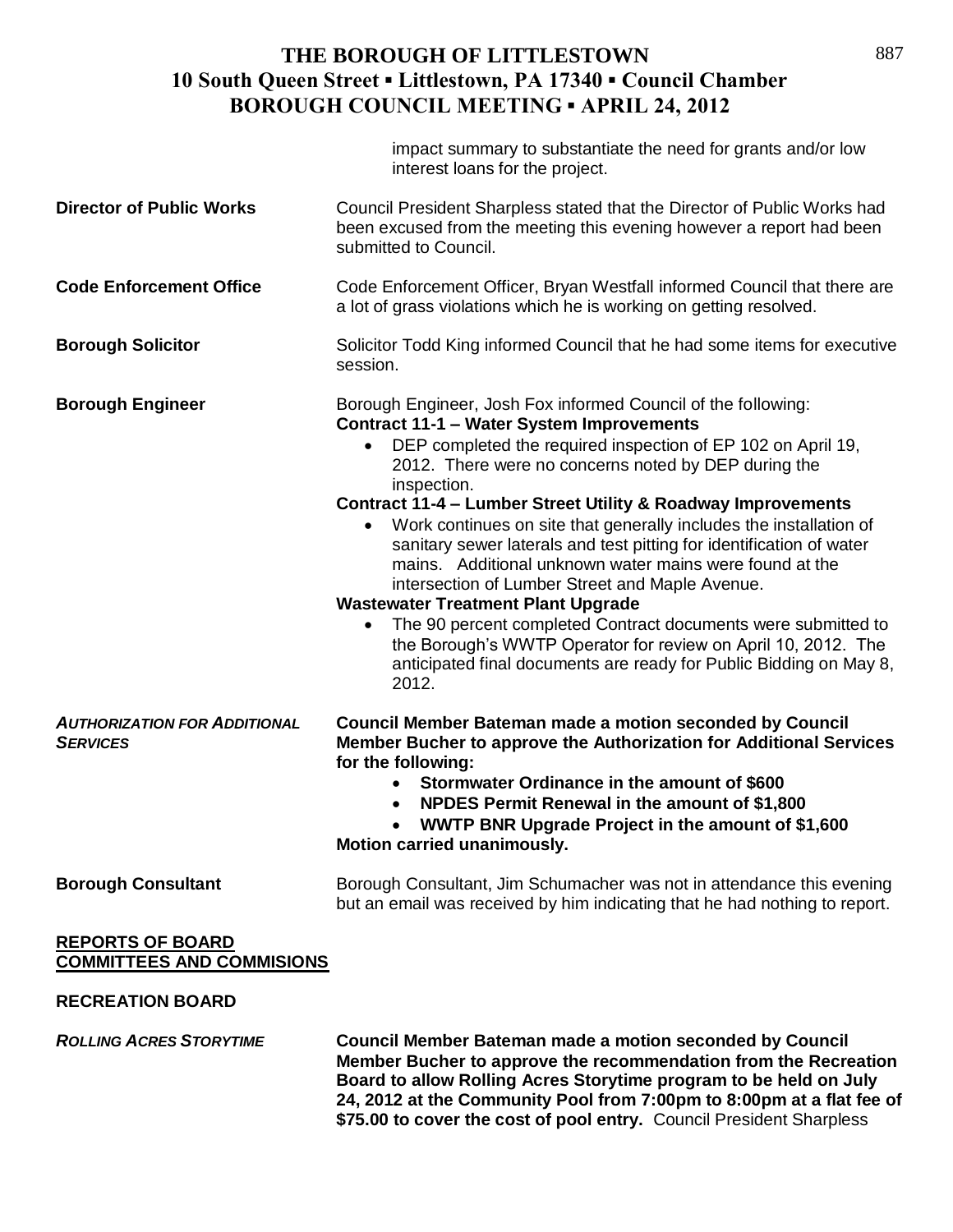|                                                             | impact summary to substantiate the need for grants and/or low<br>interest loans for the project.                                                                                                                                                                                                                                                                                                                                                                                                                                                                                                                                                                                                                                                                                                                                                   |
|-------------------------------------------------------------|----------------------------------------------------------------------------------------------------------------------------------------------------------------------------------------------------------------------------------------------------------------------------------------------------------------------------------------------------------------------------------------------------------------------------------------------------------------------------------------------------------------------------------------------------------------------------------------------------------------------------------------------------------------------------------------------------------------------------------------------------------------------------------------------------------------------------------------------------|
| <b>Director of Public Works</b>                             | Council President Sharpless stated that the Director of Public Works had<br>been excused from the meeting this evening however a report had been<br>submitted to Council.                                                                                                                                                                                                                                                                                                                                                                                                                                                                                                                                                                                                                                                                          |
| <b>Code Enforcement Office</b>                              | Code Enforcement Officer, Bryan Westfall informed Council that there are<br>a lot of grass violations which he is working on getting resolved.                                                                                                                                                                                                                                                                                                                                                                                                                                                                                                                                                                                                                                                                                                     |
| <b>Borough Solicitor</b>                                    | Solicitor Todd King informed Council that he had some items for executive<br>session.                                                                                                                                                                                                                                                                                                                                                                                                                                                                                                                                                                                                                                                                                                                                                              |
| <b>Borough Engineer</b>                                     | Borough Engineer, Josh Fox informed Council of the following:<br><b>Contract 11-1 - Water System Improvements</b><br>DEP completed the required inspection of EP 102 on April 19,<br>2012. There were no concerns noted by DEP during the<br>inspection.<br>Contract 11-4 - Lumber Street Utility & Roadway Improvements<br>Work continues on site that generally includes the installation of<br>sanitary sewer laterals and test pitting for identification of water<br>mains. Additional unknown water mains were found at the<br>intersection of Lumber Street and Maple Avenue.<br><b>Wastewater Treatment Plant Upgrade</b><br>The 90 percent completed Contract documents were submitted to<br>the Borough's WWTP Operator for review on April 10, 2012. The<br>anticipated final documents are ready for Public Bidding on May 8,<br>2012. |
| <b>AUTHORIZATION FOR ADDITIONAL</b><br><b>SERVICES</b>      | <b>Council Member Bateman made a motion seconded by Council</b><br>Member Bucher to approve the Authorization for Additional Services<br>for the following:<br>Stormwater Ordinance in the amount of \$600<br>NPDES Permit Renewal in the amount of \$1,800<br>WWTP BNR Upgrade Project in the amount of \$1,600<br>Motion carried unanimously.                                                                                                                                                                                                                                                                                                                                                                                                                                                                                                    |
| <b>Borough Consultant</b>                                   | Borough Consultant, Jim Schumacher was not in attendance this evening<br>but an email was received by him indicating that he had nothing to report.                                                                                                                                                                                                                                                                                                                                                                                                                                                                                                                                                                                                                                                                                                |
| <b>REPORTS OF BOARD</b><br><b>COMMITTEES AND COMMISIONS</b> |                                                                                                                                                                                                                                                                                                                                                                                                                                                                                                                                                                                                                                                                                                                                                                                                                                                    |
| <b>RECREATION BOARD</b>                                     |                                                                                                                                                                                                                                                                                                                                                                                                                                                                                                                                                                                                                                                                                                                                                                                                                                                    |
| <b>ROLLING ACRES STORYTIME</b>                              | <b>Council Member Bateman made a motion seconded by Council</b><br>Member Bucher to approve the recommendation from the Recreation                                                                                                                                                                                                                                                                                                                                                                                                                                                                                                                                                                                                                                                                                                                 |

**Board to allow Rolling Acres Storytime program to be held on July 24, 2012 at the Community Pool from 7:00pm to 8:00pm at a flat fee of \$75.00 to cover the cost of pool entry.** Council President Sharpless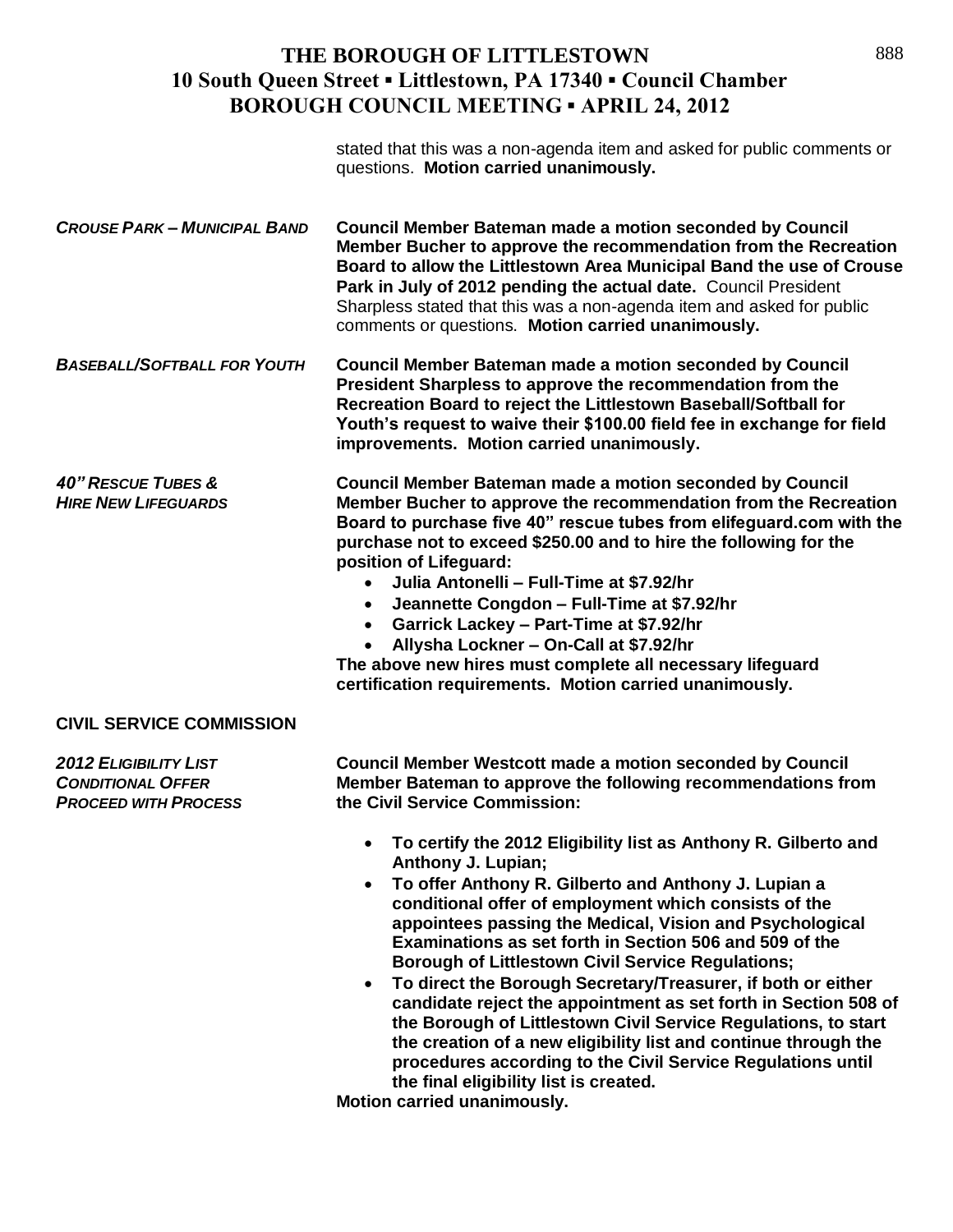stated that this was a non-agenda item and asked for public comments or questions. **Motion carried unanimously.**

*CROUSE PARK – MUNICIPAL BAND* **Council Member Bateman made a motion seconded by Council Member Bucher to approve the recommendation from the Recreation Board to allow the Littlestown Area Municipal Band the use of Crouse Park in July of 2012 pending the actual date.** Council President Sharpless stated that this was a non-agenda item and asked for public comments or questions. **Motion carried unanimously.**

*BASEBALL/SOFTBALL FOR YOUTH* **Council Member Bateman made a motion seconded by Council President Sharpless to approve the recommendation from the Recreation Board to reject the Littlestown Baseball/Softball for Youth's request to waive their \$100.00 field fee in exchange for field improvements. Motion carried unanimously.**

*40" RESCUE TUBES &* **Council Member Bateman made a motion seconded by Council** *HIRE NEW LIFEGUARDS* **Member Bucher to approve the recommendation from the Recreation Board to purchase five 40" rescue tubes from elifeguard.com with the purchase not to exceed \$250.00 and to hire the following for the position of Lifeguard:**

- **Julia Antonelli – Full-Time at \$7.92/hr**
- **Jeannette Congdon – Full-Time at \$7.92/hr**
- **Garrick Lackey – Part-Time at \$7.92/hr**
- **Allysha Lockner – On-Call at \$7.92/hr**

**The above new hires must complete all necessary lifeguard certification requirements. Motion carried unanimously.**

#### **CIVIL SERVICE COMMISSION**

*2012 ELIGIBILITY LIST* **Council Member Westcott made a motion seconded by Council**  *CONDITIONAL OFFER* **Member Bateman to approve the following recommendations from**  *PROCEED WITH PROCESS* **the Civil Service Commission:**

- **To certify the 2012 Eligibility list as Anthony R. Gilberto and Anthony J. Lupian;**
- **To offer Anthony R. Gilberto and Anthony J. Lupian a conditional offer of employment which consists of the appointees passing the Medical, Vision and Psychological Examinations as set forth in Section 506 and 509 of the Borough of Littlestown Civil Service Regulations;**
- **To direct the Borough Secretary/Treasurer, if both or either candidate reject the appointment as set forth in Section 508 of the Borough of Littlestown Civil Service Regulations, to start the creation of a new eligibility list and continue through the procedures according to the Civil Service Regulations until the final eligibility list is created.**

**Motion carried unanimously.**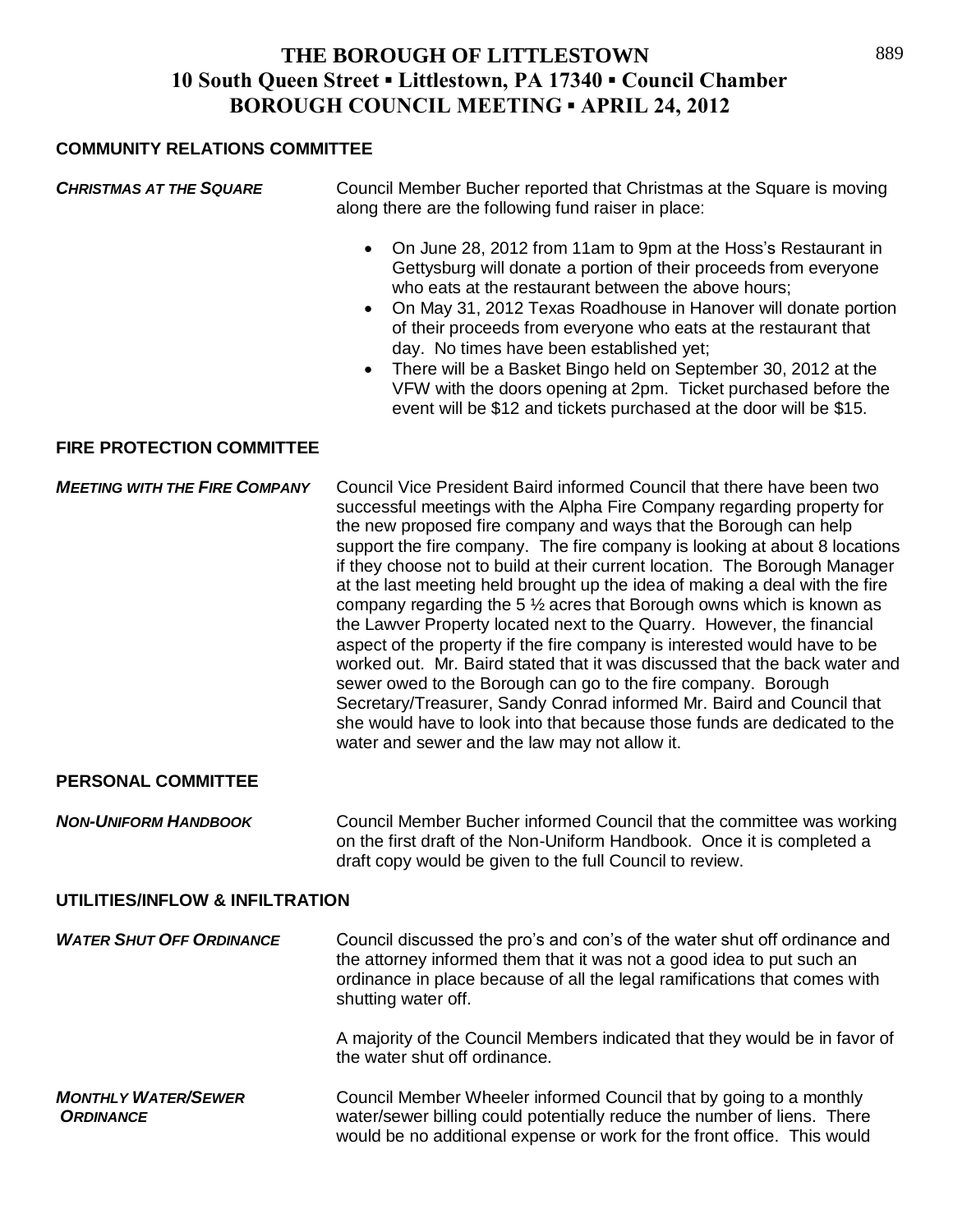#### **COMMUNITY RELATIONS COMMITTEE**

| <b>CHRISTMAS AT THE SQUARE</b>       | Council Member Bucher reported that Christmas at the Square is moving<br>along there are the following fund raiser in place:                                                                                                                                                                                                                                                                                                                                                                                                                                                                                                                                                                                                                                                                                                                                                                                                                                                                                                                                    |
|--------------------------------------|-----------------------------------------------------------------------------------------------------------------------------------------------------------------------------------------------------------------------------------------------------------------------------------------------------------------------------------------------------------------------------------------------------------------------------------------------------------------------------------------------------------------------------------------------------------------------------------------------------------------------------------------------------------------------------------------------------------------------------------------------------------------------------------------------------------------------------------------------------------------------------------------------------------------------------------------------------------------------------------------------------------------------------------------------------------------|
|                                      | On June 28, 2012 from 11am to 9pm at the Hoss's Restaurant in<br>$\bullet$<br>Gettysburg will donate a portion of their proceeds from everyone<br>who eats at the restaurant between the above hours;<br>On May 31, 2012 Texas Roadhouse in Hanover will donate portion<br>$\bullet$<br>of their proceeds from everyone who eats at the restaurant that<br>day. No times have been established yet;<br>There will be a Basket Bingo held on September 30, 2012 at the<br>$\bullet$<br>VFW with the doors opening at 2pm. Ticket purchased before the<br>event will be \$12 and tickets purchased at the door will be \$15.                                                                                                                                                                                                                                                                                                                                                                                                                                      |
| <b>FIRE PROTECTION COMMITTEE</b>     |                                                                                                                                                                                                                                                                                                                                                                                                                                                                                                                                                                                                                                                                                                                                                                                                                                                                                                                                                                                                                                                                 |
| <b>MEETING WITH THE FIRE COMPANY</b> | Council Vice President Baird informed Council that there have been two<br>successful meetings with the Alpha Fire Company regarding property for<br>the new proposed fire company and ways that the Borough can help<br>support the fire company. The fire company is looking at about 8 locations<br>if they choose not to build at their current location. The Borough Manager<br>at the last meeting held brought up the idea of making a deal with the fire<br>company regarding the 5 $\frac{1}{2}$ acres that Borough owns which is known as<br>the Lawver Property located next to the Quarry. However, the financial<br>aspect of the property if the fire company is interested would have to be<br>worked out. Mr. Baird stated that it was discussed that the back water and<br>sewer owed to the Borough can go to the fire company. Borough<br>Secretary/Treasurer, Sandy Conrad informed Mr. Baird and Council that<br>she would have to look into that because those funds are dedicated to the<br>water and sewer and the law may not allow it. |
| <b>PERSONAL COMMITTEE</b>            |                                                                                                                                                                                                                                                                                                                                                                                                                                                                                                                                                                                                                                                                                                                                                                                                                                                                                                                                                                                                                                                                 |
|                                      |                                                                                                                                                                                                                                                                                                                                                                                                                                                                                                                                                                                                                                                                                                                                                                                                                                                                                                                                                                                                                                                                 |

*NON-UNIFORM HANDBOOK* Council Member Bucher informed Council that the committee was working on the first draft of the Non-Uniform Handbook. Once it is completed a draft copy would be given to the full Council to review.

#### **UTILITIES/INFLOW & INFILTRATION**

| <b>WATER SHUT OFF ORDINANCE</b>                | Council discussed the pro's and con's of the water shut off ordinance and<br>the attorney informed them that it was not a good idea to put such an<br>ordinance in place because of all the legal ramifications that comes with<br>shutting water off. |
|------------------------------------------------|--------------------------------------------------------------------------------------------------------------------------------------------------------------------------------------------------------------------------------------------------------|
|                                                | A majority of the Council Members indicated that they would be in favor of<br>the water shut off ordinance.                                                                                                                                            |
| <b>MONTHLY WATER/SEWER</b><br><b>ORDINANCE</b> | Council Member Wheeler informed Council that by going to a monthly<br>water/sewer billing could potentially reduce the number of liens. There<br>would be no additional expense or work for the front office. This would                               |